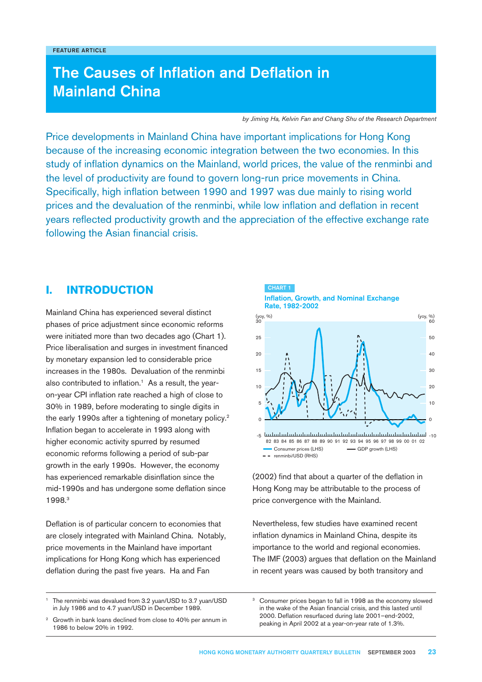# The Causes of Inflation and Deflation in Mainland China

*by Jiming Ha, Kelvin Fan and Chang Shu of the Research Department*

Price developments in Mainland China have important implications for Hong Kong because of the increasing economic integration between the two economies. In this study of inflation dynamics on the Mainland, world prices, the value of the renminbi and the level of productivity are found to govern long-run price movements in China. Specifically, high inflation between 1990 and 1997 was due mainly to rising world prices and the devaluation of the renminbi, while low inflation and deflation in recent years reflected productivity growth and the appreciation of the effective exchange rate following the Asian financial crisis.

CHART 1

# **I. INTRODUCTION**

Mainland China has experienced several distinct phases of price adjustment since economic reforms were initiated more than two decades ago (Chart 1). Price liberalisation and surges in investment financed by monetary expansion led to considerable price increases in the 1980s. Devaluation of the renminbi also contributed to inflation.<sup>1</sup> As a result, the yearon-year CPI inflation rate reached a high of close to 30% in 1989, before moderating to single digits in the early 1990s after a tightening of monetary policy.<sup>2</sup> Inflation began to accelerate in 1993 along with higher economic activity spurred by resumed economic reforms following a period of sub-par growth in the early 1990s. However, the economy has experienced remarkable disinflation since the mid-1990s and has undergone some deflation since 1998.3

Deflation is of particular concern to economies that are closely integrated with Mainland China. Notably, price movements in the Mainland have important implications for Hong Kong which has experienced deflation during the past five years. Ha and Fan

-5 -10  $\Omega$ 10  $20$ 25  $(yoy, %)$ 5 15  $\Omega$ 20 40 50 (yoy, %)<br>60 10 30 Inflation, Growth, and Nominal Exchange Rate, 1982-2002 - GDP growth (LHS)  $-$  - renminbi/USD (RHS) Consumer prices (LHS) 82 83 84 85 86 87 88 89 90 91 92 93 94 95 96 97 98 99 00 01 02 (yoy, %) (yoy, %)

(2002) find that about a quarter of the deflation in Hong Kong may be attributable to the process of price convergence with the Mainland.

Nevertheless, few studies have examined recent inflation dynamics in Mainland China, despite its importance to the world and regional economies. The IMF (2003) argues that deflation on the Mainland in recent years was caused by both transitory and

The renminbi was devalued from 3.2 yuan/USD to 3.7 yuan/USD in July 1986 and to 4.7 yuan/USD in December 1989.

Growth in bank loans declined from close to 40% per annum in 1986 to below 20% in 1992.

Consumer prices began to fall in 1998 as the economy slowed in the wake of the Asian financial crisis, and this lasted until 2000. Deflation resurfaced during late 2001–end-2002, peaking in April 2002 at a year-on-year rate of 1.3%.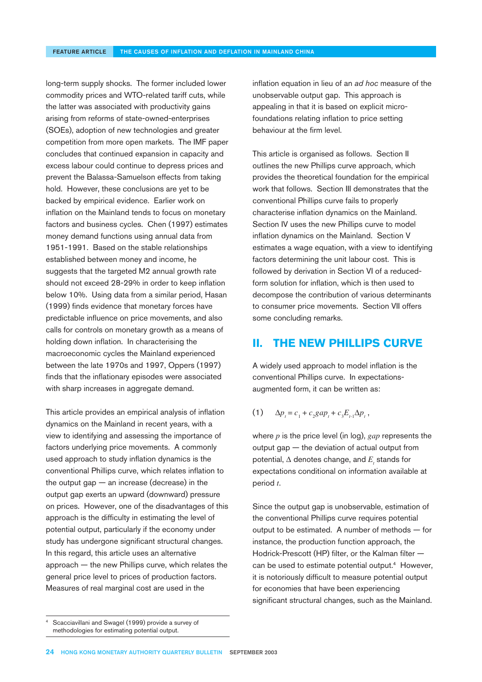long-term supply shocks. The former included lower commodity prices and WTO-related tariff cuts, while the latter was associated with productivity gains arising from reforms of state-owned-enterprises (SOEs), adoption of new technologies and greater competition from more open markets. The IMF paper concludes that continued expansion in capacity and excess labour could continue to depress prices and prevent the Balassa-Samuelson effects from taking hold. However, these conclusions are yet to be backed by empirical evidence. Earlier work on inflation on the Mainland tends to focus on monetary factors and business cycles. Chen (1997) estimates money demand functions using annual data from 1951-1991. Based on the stable relationships established between money and income, he suggests that the targeted M2 annual growth rate should not exceed 28-29% in order to keep inflation below 10%. Using data from a similar period, Hasan (1999) finds evidence that monetary forces have predictable influence on price movements, and also calls for controls on monetary growth as a means of holding down inflation. In characterising the macroeconomic cycles the Mainland experienced between the late 1970s and 1997, Oppers (1997) finds that the inflationary episodes were associated with sharp increases in aggregate demand.

This article provides an empirical analysis of inflation dynamics on the Mainland in recent years, with a view to identifying and assessing the importance of factors underlying price movements. A commonly used approach to study inflation dynamics is the conventional Phillips curve, which relates inflation to the output gap  $-$  an increase (decrease) in the output gap exerts an upward (downward) pressure on prices. However, one of the disadvantages of this approach is the difficulty in estimating the level of potential output, particularly if the economy under study has undergone significant structural changes. In this regard, this article uses an alternative approach — the new Phillips curve, which relates the general price level to prices of production factors. Measures of real marginal cost are used in the

inflation equation in lieu of an *ad hoc* measure of the unobservable output gap. This approach is appealing in that it is based on explicit microfoundations relating inflation to price setting behaviour at the firm level.

This article is organised as follows. Section II outlines the new Phillips curve approach, which provides the theoretical foundation for the empirical work that follows. Section III demonstrates that the conventional Phillips curve fails to properly characterise inflation dynamics on the Mainland. Section IV uses the new Phillips curve to model inflation dynamics on the Mainland. Section V estimates a wage equation, with a view to identifying factors determining the unit labour cost. This is followed by derivation in Section VI of a reducedform solution for inflation, which is then used to decompose the contribution of various determinants to consumer price movements. Section VII offers some concluding remarks.

# **II. THE NEW PHILLIPS CURVE**

A widely used approach to model inflation is the conventional Phillips curve. In expectationsaugmented form, it can be written as:

(1) 
$$
\Delta p_t = c_1 + c_2 gap_t + c_3 E_{t-1} \Delta p_t,
$$

where *p* is the price level (in log), *gap* represents the output gap — the deviation of actual output from potential,  $\Delta$  denotes change, and  $E_{_t}$  stands for expectations conditional on information available at period *t*.

Since the output gap is unobservable, estimation of the conventional Phillips curve requires potential output to be estimated. A number of methods — for instance, the production function approach, the Hodrick-Prescott (HP) filter, or the Kalman filter can be used to estimate potential output.<sup>4</sup> However, it is notoriously difficult to measure potential output for economies that have been experiencing significant structural changes, such as the Mainland.

Scacciavillani and Swagel (1999) provide a survey of methodologies for estimating potential output.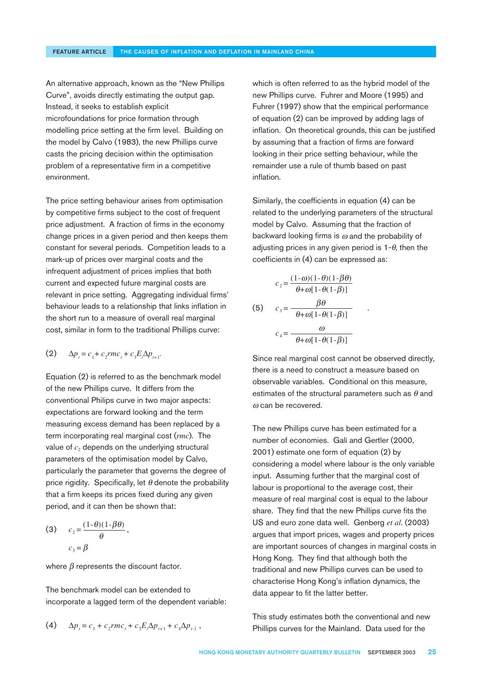An alternative approach, known as the "New Phillips Curve", avoids directly estimating the output gap. Instead, it seeks to establish explicit microfoundations for price formation through modelling price setting at the firm level. Building on the model by Calvo (1983), the new Phillips curve casts the pricing decision within the optimisation problem of a representative firm in a competitive environment.

The price setting behaviour arises from optimisation by competitive firms subject to the cost of frequent price adjustment. A fraction of firms in the economy change prices in a given period and then keeps them constant for several periods. Competition leads to a mark-up of prices over marginal costs and the infrequent adjustment of prices implies that both current and expected future marginal costs are relevant in price setting. Aggregating individual firms' behaviour leads to a relationship that links inflation in the short run to a measure of overall real marginal cost, similar in form to the traditional Phillips curve:

$$
(2) \qquad \Delta p_t = c_1 + c_2 r m c_t + c_3 E_t \Delta p_{t+1}.
$$

Equation (2) is referred to as the benchmark model of the new Phillips curve. It differs from the conventional Philips curve in two major aspects: expectations are forward looking and the term measuring excess demand has been replaced by a term incorporating real marginal cost (*rmc*). The value of  $c_2$  depends on the underlying structural parameters of the optimisation model by Calvo, particularly the parameter that governs the degree of price rigidity. Specifically, let  $\theta$  denote the probability that a firm keeps its prices fixed during any given period, and it can then be shown that:

$$
(3) \t c2 = \frac{(1-\theta)(1-\beta\theta)}{\theta},
$$

$$
c3 = \beta
$$

where  $\beta$  represents the discount factor.

The benchmark model can be extended to incorporate a lagged term of the dependent variable:

(4) 
$$
\Delta p_{t} = c_1 + c_2 r m c_t + c_3 E_t \Delta p_{t+1} + c_4 \Delta p_{t+1} ,
$$

which is often referred to as the hybrid model of the new Phillips curve. Fuhrer and Moore (1995) and Fuhrer (1997) show that the empirical performance of equation (2) can be improved by adding lags of inflation. On theoretical grounds, this can be justified by assuming that a fraction of firms are forward looking in their price setting behaviour, while the remainder use a rule of thumb based on past inflation.

Similarly, the coefficients in equation (4) can be related to the underlying parameters of the structural model by Calvo. Assuming that the fraction of backward looking firms is  $\omega$  and the probability of adjusting prices in any given period is  $1-\theta$ , then the coefficients in (4) can be expressed as:

$$
c_2 = \frac{(1-\omega)(1-\theta)(1-\beta\theta)}{\theta+\omega[1-\theta(1-\beta)]}
$$
  
(5) 
$$
c_3 = \frac{\beta\theta}{\theta+\omega[1-\theta(1-\beta)]}
$$

$$
c_4 = \frac{\omega}{\theta+\omega[1-\theta(1-\beta)]}
$$

Since real marginal cost cannot be observed directly, there is a need to construct a measure based on observable variables. Conditional on this measure, estimates of the structural parameters such as  $\theta$  and  $\omega$  can be recovered.

The new Phillips curve has been estimated for a number of economies. Galí and Gertler (2000, 2001) estimate one form of equation (2) by considering a model where labour is the only variable input. Assuming further that the marginal cost of labour is proportional to the average cost, their measure of real marginal cost is equal to the labour share. They find that the new Phillips curve fits the US and euro zone data well. Genberg *et al*. (2003) argues that import prices, wages and property prices are important sources of changes in marginal costs in Hong Kong. They find that although both the traditional and new Phillips curves can be used to characterise Hong Kong's inflation dynamics, the data appear to fit the latter better.

This study estimates both the conventional and new Phillips curves for the Mainland. Data used for the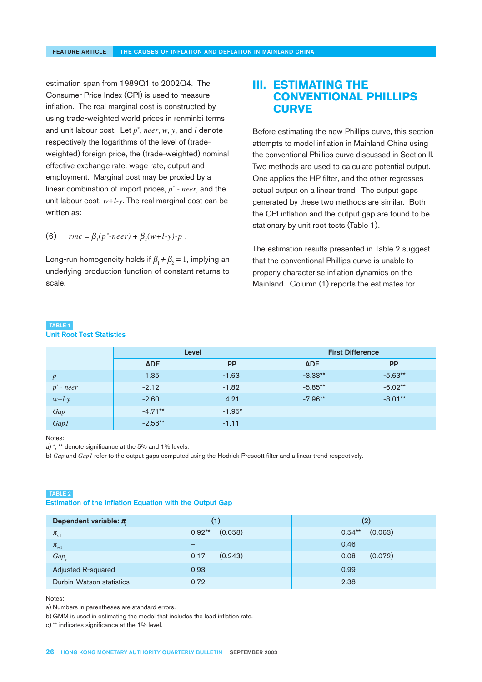estimation span from 1989Q1 to 2002Q4. The Consumer Price Index (CPI) is used to measure inflation. The real marginal cost is constructed by using trade-weighted world prices in renminbi terms and unit labour cost. Let *p*\* , *neer*, *w*, *y*, and *l* denote respectively the logarithms of the level of (tradeweighted) foreign price, the (trade-weighted) nominal effective exchange rate, wage rate, output and employment. Marginal cost may be proxied by a linear combination of import prices, *p*\*  *- neer*, and the unit labour cost, *w+l-y*. The real marginal cost can be written as:

(6) 
$$
rmc = \beta_1(p^* \text{-} never) + \beta_2(w + l \text{-} y) \text{-} p.
$$

Long-run homogeneity holds if  $\beta_{\text{\tiny{l}}}$  +  $\beta_{\text{\tiny{2}}}$  = 1, implying an underlying production function of constant returns to scale.

# **III. ESTIMATING THE CONVENTIONAL PHILLIPS CURVE**

Before estimating the new Phillips curve, this section attempts to model inflation in Mainland China using the conventional Phillips curve discussed in Section II. Two methods are used to calculate potential output. One applies the HP filter, and the other regresses actual output on a linear trend. The output gaps generated by these two methods are similar. Both the CPI inflation and the output gap are found to be stationary by unit root tests (Table 1).

The estimation results presented in Table 2 suggest that the conventional Phillips curve is unable to properly characterise inflation dynamics on the Mainland. Column (1) reports the estimates for

### TABLE 1

Unit Root Test Statistics

|                  | Level      |           | <b>First Difference</b> |           |
|------------------|------------|-----------|-------------------------|-----------|
|                  | <b>ADF</b> | <b>PP</b> | <b>ADF</b>              | <b>PP</b> |
| $\boldsymbol{p}$ | 1.35       | $-1.63$   | $-3.33**$               | $-5.63**$ |
| $p^*$ - neer     | $-2.12$    | $-1.82$   | $-5.85**$               | $-6.02**$ |
| $w+l-y$          | $-2.60$    | 4.21      | $-7.96**$               | $-8.01**$ |
| Gap              | $-4.71**$  | $-1.95*$  |                         |           |
| Gap1             | $-2.56**$  | $-1.11$   |                         |           |

#### Notes:

a) \*, \*\* denote significance at the 5% and 1% levels.

b) *Gap* and *Gap1* refer to the output gaps computed using the Hodrick-Prescott filter and a linear trend respectively.

### TABLE 2

### Estimation of the Inflation Equation with the Output Gap

| Dependent variable: $\pi$ | (1)                 | $\left( 2\right)$    |
|---------------------------|---------------------|----------------------|
| $\pi_{t-1}$               | (0.058)<br>$0.92**$ | (0.063)<br>$0.54***$ |
| $\pi_{H+1}$               | -                   | 0.46                 |
| Gap                       | (0.243)<br>0.17     | (0.072)<br>0.08      |
| Adjusted R-squared        | 0.93                | 0.99                 |
| Durbin-Watson statistics  | 0.72                | 2.38                 |

Notes:

a) Numbers in parentheses are standard errors.

b) GMM is used in estimating the model that includes the lead inflation rate.

c) \*\* indicates significance at the 1% level.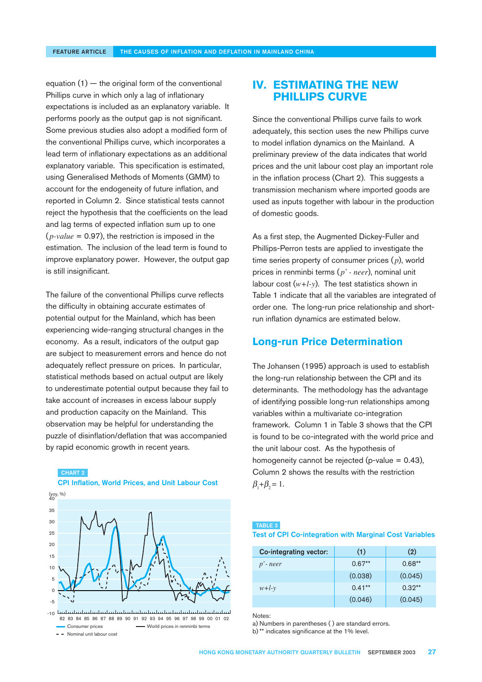equation  $(1)$  — the original form of the conventional Phillips curve in which only a lag of inflationary expectations is included as an explanatory variable. It performs poorly as the output gap is not significant. Some previous studies also adopt a modified form of the conventional Phillips curve, which incorporates a lead term of inflationary expectations as an additional explanatory variable. This specification is estimated, using Generalised Methods of Moments (GMM) to account for the endogeneity of future inflation, and reported in Column 2. Since statistical tests cannot reject the hypothesis that the coefficients on the lead and lag terms of expected inflation sum up to one  $(p-value = 0.97)$ , the restriction is imposed in the estimation. The inclusion of the lead term is found to improve explanatory power. However, the output gap is still insignificant.

The failure of the conventional Phillips curve reflects the difficulty in obtaining accurate estimates of potential output for the Mainland, which has been experiencing wide-ranging structural changes in the economy. As a result, indicators of the output gap are subject to measurement errors and hence do not adequately reflect pressure on prices. In particular, statistical methods based on actual output are likely to underestimate potential output because they fail to take account of increases in excess labour supply and production capacity on the Mainland. This observation may be helpful for understanding the puzzle of disinflation/deflation that was accompanied by rapid economic growth in recent years.

#### CHART 2



### CPI Inflation, World Prices, and Unit Labour Cost

- World prices in renminbi terms - Nominal unit labour cost Consumer prices 82 83 84 85 86 87 88 89 90 91 92 93 94 95 96 97 98 99 00 01 02

# **IV. ESTIMATING THE NEW PHILLIPS CURVE**

Since the conventional Phillips curve fails to work adequately, this section uses the new Phillips curve to model inflation dynamics on the Mainland. A preliminary preview of the data indicates that world prices and the unit labour cost play an important role in the inflation process (Chart 2). This suggests a transmission mechanism where imported goods are used as inputs together with labour in the production of domestic goods.

As a first step, the Augmented Dickey-Fuller and Phillips-Perron tests are applied to investigate the time series property of consumer prices (p), world prices in renminbi terms ( *p\* - neer*), nominal unit labour cost  $(w+l-y)$ . The test statistics shown in Table 1 indicate that all the variables are integrated of order one. The long-run price relationship and shortrun inflation dynamics are estimated below.

### **Long-run Price Determination**

The Johansen (1995) approach is used to establish the long-run relationship between the CPI and its determinants. The methodology has the advantage of identifying possible long-run relationships among variables within a multivariate co-integration framework. Column 1 in Table 3 shows that the CPI is found to be co-integrated with the world price and the unit labour cost. As the hypothesis of homogeneity cannot be rejected (p-value  $= 0.43$ ), Column 2 shows the results with the restriction  $\beta_1 + \beta_2 = 1.$ 

### TABLE 3

### Test of CPI Co-integration with Marginal Cost Variables

| Co-integrating vector: | (1)      | (2)      |
|------------------------|----------|----------|
| $p^*$ -neer            | $0.67**$ | $0.68**$ |
|                        | (0.038)  | (0.045)  |
| $w+l-v$                | $0.41**$ | $0.32**$ |
|                        | (0.046)  | (0.045)  |

Notes:

a) Numbers in parentheses ( ) are standard errors. b) \*\* indicates significance at the 1% level.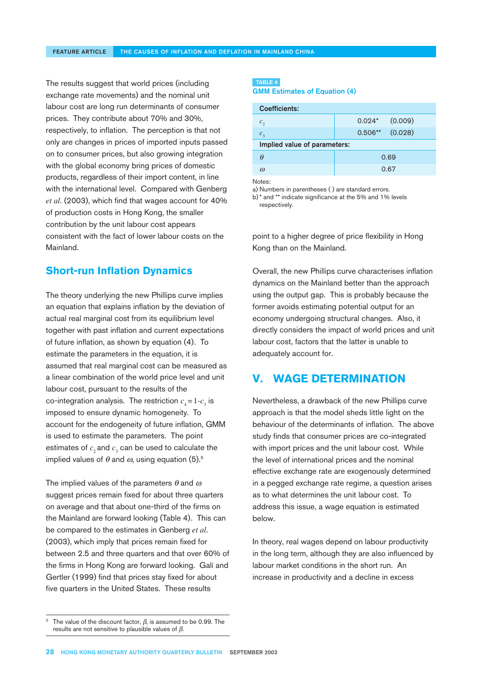The results suggest that world prices (including exchange rate movements) and the nominal unit labour cost are long run determinants of consumer prices. They contribute about 70% and 30%, respectively, to inflation. The perception is that not only are changes in prices of imported inputs passed on to consumer prices, but also growing integration with the global economy bring prices of domestic products, regardless of their import content, in line with the international level. Compared with Genberg *et al*. (2003), which find that wages account for 40% of production costs in Hong Kong, the smaller contribution by the unit labour cost appears consistent with the fact of lower labour costs on the Mainland.

### **Short-run Inflation Dynamics**

The theory underlying the new Phillips curve implies an equation that explains inflation by the deviation of actual real marginal cost from its equilibrium level together with past inflation and current expectations of future inflation, as shown by equation (4). To estimate the parameters in the equation, it is assumed that real marginal cost can be measured as a linear combination of the world price level and unit labour cost, pursuant to the results of the  $\text{co-integration analysis.}$  The restriction  $c_4 = 1 - c_3$  is imposed to ensure dynamic homogeneity. To account for the endogeneity of future inflation, GMM is used to estimate the parameters. The point estimates of  $c_{_2}$ and  $c_{_3}$  can be used to calculate the implied values of  $\theta$  and  $\omega$ , using equation (5).<sup>5</sup>

The implied values of the parameters  $\theta$  and  $\omega$ suggest prices remain fixed for about three quarters on average and that about one-third of the firms on the Mainland are forward looking (Table 4). This can be compared to the estimates in Genberg *et al*. (2003), which imply that prices remain fixed for between 2.5 and three quarters and that over 60% of the firms in Hong Kong are forward looking. Galí and Gertler (1999) find that prices stay fixed for about five quarters in the United States. These results

### TABLE 4

GMM Estimates of Equation (4)

| <b>Coefficients:</b>         |                      |  |  |  |
|------------------------------|----------------------|--|--|--|
| $c_{2}$                      | (0.009)<br>$0.024*$  |  |  |  |
| $c_{\tiny{\text{2}}}$        | (0.028)<br>$0.506**$ |  |  |  |
| Implied value of parameters: |                      |  |  |  |
| A                            | 0.69                 |  |  |  |
| $\omega$                     | 0.67                 |  |  |  |
| Notes <sup>.</sup>           |                      |  |  |  |

Notes:

a) Numbers in parentheses ( ) are standard errors.

b) \* and \*\* indicate significance at the 5% and 1% levels respectively.

point to a higher degree of price flexibility in Hong Kong than on the Mainland.

Overall, the new Phillips curve characterises inflation dynamics on the Mainland better than the approach using the output gap. This is probably because the former avoids estimating potential output for an economy undergoing structural changes. Also, it directly considers the impact of world prices and unit labour cost, factors that the latter is unable to adequately account for.

# **V. WAGE DETERMINATION**

Nevertheless, a drawback of the new Phillips curve approach is that the model sheds little light on the behaviour of the determinants of inflation. The above study finds that consumer prices are co-integrated with import prices and the unit labour cost. While the level of international prices and the nominal effective exchange rate are exogenously determined in a pegged exchange rate regime, a question arises as to what determines the unit labour cost. To address this issue, a wage equation is estimated below.

In theory, real wages depend on labour productivity in the long term, although they are also influenced by labour market conditions in the short run. An increase in productivity and a decline in excess

<sup>&</sup>lt;sup>5</sup> The value of the discount factor,  $\beta$ , is assumed to be 0.99. The results are not sensitive to plausible values of  $β$ .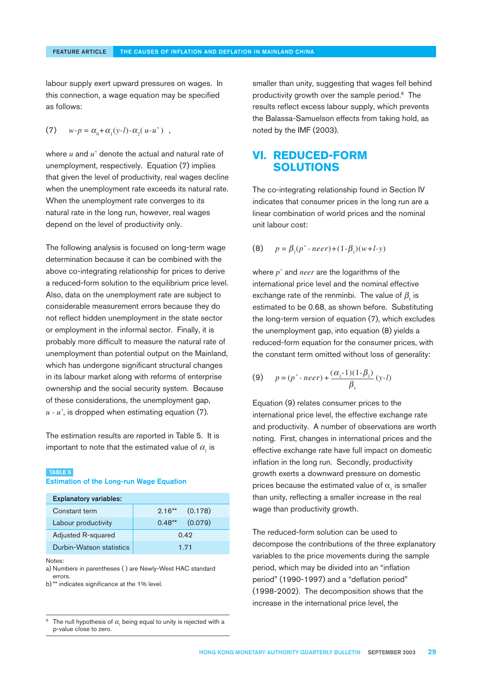labour supply exert upward pressures on wages. In this connection, a wage equation may be specified as follows:

(7)  $w-p = \alpha_0 + \alpha_1(y-l) - \alpha_2(u-u^*)$ ,

where  $u$  and  $u^\ast$  denote the actual and natural rate of unemployment, respectively. Equation (7) implies that given the level of productivity, real wages decline when the unemployment rate exceeds its natural rate. When the unemployment rate converges to its natural rate in the long run, however, real wages depend on the level of productivity only.

The following analysis is focused on long-term wage determination because it can be combined with the above co-integrating relationship for prices to derive a reduced-form solution to the equilibrium price level. Also, data on the unemployment rate are subject to considerable measurement errors because they do not reflect hidden unemployment in the state sector or employment in the informal sector. Finally, it is probably more difficult to measure the natural rate of unemployment than potential output on the Mainland, which has undergone significant structural changes in its labour market along with reforms of enterprise ownership and the social security system. Because of these considerations, the unemployment gap, *u - u\** , is dropped when estimating equation (7).

The estimation results are reported in Table 5. It is important to note that the estimated value of  $\alpha_{_{\rm l}}$  is

#### TABLE 5

Estimation of the Long-run Wage Equation

| <b>Explanatory variables:</b> |                     |  |  |
|-------------------------------|---------------------|--|--|
| Constant term                 | (0.178)<br>$2.16**$ |  |  |
| Labour productivity           | (0.079)<br>$0.48**$ |  |  |
| Adjusted R-squared            | 0.42                |  |  |
| Durbin-Watson statistics      | 171                 |  |  |

Notes:

a) Numbers in parentheses ( ) are Newly-West HAC standard errors.

b) \*\* indicates significance at the 1% level.

smaller than unity, suggesting that wages fell behind productivity growth over the sample period.<sup>6</sup> The results reflect excess labour supply, which prevents the Balassa-Samuelson effects from taking hold, as noted by the IMF (2003).

# **VI. REDUCED-FORM SOLUTIONS**

The co-integrating relationship found in Section IV indicates that consumer prices in the long run are a linear combination of world prices and the nominal unit labour cost:

(8) 
$$
p = \beta_1(p^* \cdot neer) + (1 - \beta_1)(w + l - y)
$$

where *p\** and *neer* are the logarithms of the international price level and the nominal effective exchange rate of the renminbi. The value of  $\beta_{_1}$  is estimated to be 0.68, as shown before. Substituting the long-term version of equation (7), which excludes the unemployment gap, into equation (8) yields a reduced-form equation for the consumer prices, with the constant term omitted without loss of generality:

(9) 
$$
p = (p^* \cdot neer) + \frac{(\alpha_1 - 1)(1 - \beta_1)}{\beta_1} (y - l)
$$

Equation (9) relates consumer prices to the international price level, the effective exchange rate and productivity. A number of observations are worth noting. First, changes in international prices and the effective exchange rate have full impact on domestic inflation in the long run. Secondly, productivity growth exerts a downward pressure on domestic prices because the estimated value of  $\alpha_{_1}$  is smaller than unity, reflecting a smaller increase in the real wage than productivity growth.

The reduced-form solution can be used to decompose the contributions of the three explanatory variables to the price movements during the sample period, which may be divided into an "inflation period" (1990-1997) and a "deflation period" (1998-2002). The decomposition shows that the increase in the international price level, the

The null hypothesis of  $\alpha$ , being equal to unity is rejected with a p-value close to zero.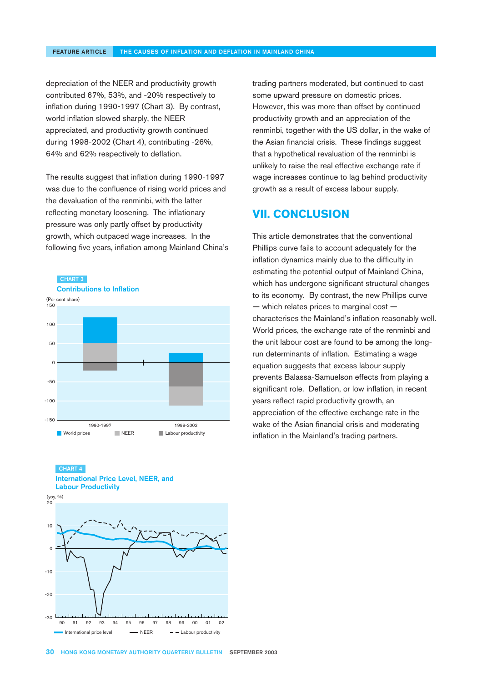depreciation of the NEER and productivity growth contributed 67%, 53%, and -20% respectively to inflation during 1990-1997 (Chart 3). By contrast, world inflation slowed sharply, the NEER appreciated, and productivity growth continued during 1998-2002 (Chart 4), contributing -26%, 64% and 62% respectively to deflation.

The results suggest that inflation during 1990-1997 was due to the confluence of rising world prices and the devaluation of the renminbi, with the latter reflecting monetary loosening. The inflationary pressure was only partly offset by productivity growth, which outpaced wage increases. In the following five years, inflation among Mainland China's









trading partners moderated, but continued to cast some upward pressure on domestic prices. However, this was more than offset by continued productivity growth and an appreciation of the renminbi, together with the US dollar, in the wake of the Asian financial crisis. These findings suggest that a hypothetical revaluation of the renminbi is unlikely to raise the real effective exchange rate if wage increases continue to lag behind productivity growth as a result of excess labour supply.

# **VII. CONCLUSION**

This article demonstrates that the conventional Phillips curve fails to account adequately for the inflation dynamics mainly due to the difficulty in estimating the potential output of Mainland China, which has undergone significant structural changes to its economy. By contrast, the new Phillips curve — which relates prices to marginal cost characterises the Mainland's inflation reasonably well. World prices, the exchange rate of the renminbi and the unit labour cost are found to be among the longrun determinants of inflation. Estimating a wage equation suggests that excess labour supply prevents Balassa-Samuelson effects from playing a significant role. Deflation, or low inflation, in recent years reflect rapid productivity growth, an appreciation of the effective exchange rate in the wake of the Asian financial crisis and moderating inflation in the Mainland's trading partners.